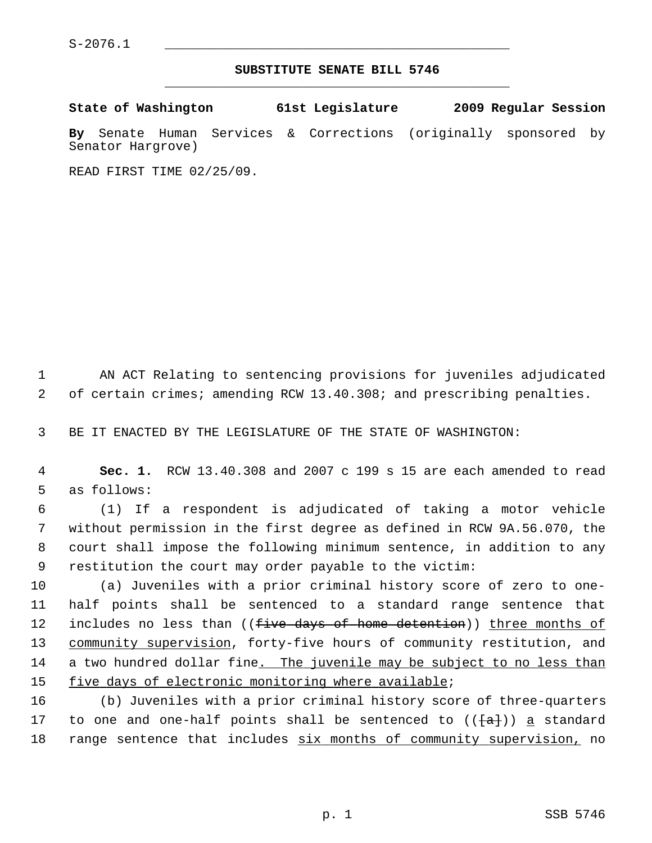## **SUBSTITUTE SENATE BILL 5746** \_\_\_\_\_\_\_\_\_\_\_\_\_\_\_\_\_\_\_\_\_\_\_\_\_\_\_\_\_\_\_\_\_\_\_\_\_\_\_\_\_\_\_\_\_

| State of Washington |                   |  |  | 61st Legislature                                                | 2009 Regular Session |  |  |
|---------------------|-------------------|--|--|-----------------------------------------------------------------|----------------------|--|--|
|                     | Senator Hargrove) |  |  | By Senate Human Services & Corrections (originally sponsored by |                      |  |  |

READ FIRST TIME 02/25/09.

 1 AN ACT Relating to sentencing provisions for juveniles adjudicated 2 of certain crimes; amending RCW 13.40.308; and prescribing penalties.

3 BE IT ENACTED BY THE LEGISLATURE OF THE STATE OF WASHINGTON:

 4 **Sec. 1.** RCW 13.40.308 and 2007 c 199 s 15 are each amended to read 5 as follows:

 6 (1) If a respondent is adjudicated of taking a motor vehicle 7 without permission in the first degree as defined in RCW 9A.56.070, the 8 court shall impose the following minimum sentence, in addition to any 9 restitution the court may order payable to the victim:

10 (a) Juveniles with a prior criminal history score of zero to one-11 half points shall be sentenced to a standard range sentence that 12 includes no less than ((five days of home detention)) three months of 13 community supervision, forty-five hours of community restitution, and 14 a two hundred dollar fine. The juvenile may be subject to no less than 15 five days of electronic monitoring where available;

16 (b) Juveniles with a prior criminal history score of three-quarters 17 to one and one-half points shall be sentenced to  $((\{a\}) )$  a standard 18 range sentence that includes six months of community supervision, no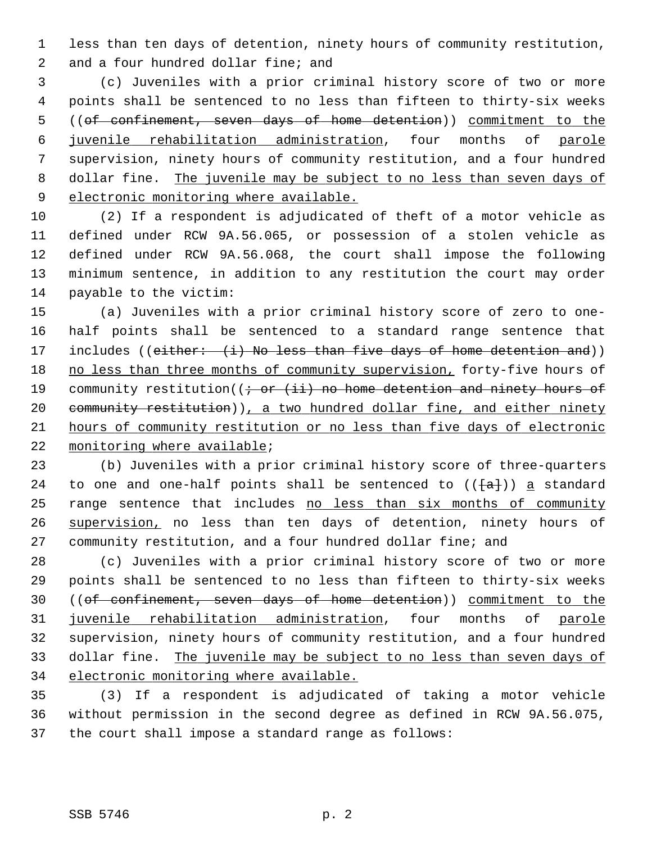1 less than ten days of detention, ninety hours of community restitution, 2 and a four hundred dollar fine; and

 3 (c) Juveniles with a prior criminal history score of two or more 4 points shall be sentenced to no less than fifteen to thirty-six weeks 5 ((of confinement, seven days of home detention)) commitment to the 6 juvenile rehabilitation administration, four months of parole 7 supervision, ninety hours of community restitution, and a four hundred 8 dollar fine. The juvenile may be subject to no less than seven days of 9 electronic monitoring where available.

10 (2) If a respondent is adjudicated of theft of a motor vehicle as 11 defined under RCW 9A.56.065, or possession of a stolen vehicle as 12 defined under RCW 9A.56.068, the court shall impose the following 13 minimum sentence, in addition to any restitution the court may order 14 payable to the victim:

15 (a) Juveniles with a prior criminal history score of zero to one-16 half points shall be sentenced to a standard range sentence that 17 includes ((either: (i) No less than five days of home detention and)) 18 no less than three months of community supervision, forty-five hours of 19 community restitution( $(i - or (ii)$  no home detention and ninety hours of 20 community restitution)), a two hundred dollar fine, and either ninety 21 hours of community restitution or no less than five days of electronic 22 monitoring where available;

23 (b) Juveniles with a prior criminal history score of three-quarters 24 to one and one-half points shall be sentenced to  $(\{\texttt{a}\})$  a standard 25 range sentence that includes no less than six months of community 26 supervision, no less than ten days of detention, ninety hours of 27 community restitution, and a four hundred dollar fine; and

28 (c) Juveniles with a prior criminal history score of two or more 29 points shall be sentenced to no less than fifteen to thirty-six weeks 30 ((of confinement, seven days of home detention)) commitment to the 31 juvenile rehabilitation administration, four months of parole 32 supervision, ninety hours of community restitution, and a four hundred 33 dollar fine. The juvenile may be subject to no less than seven days of 34 electronic monitoring where available.

35 (3) If a respondent is adjudicated of taking a motor vehicle 36 without permission in the second degree as defined in RCW 9A.56.075, 37 the court shall impose a standard range as follows: